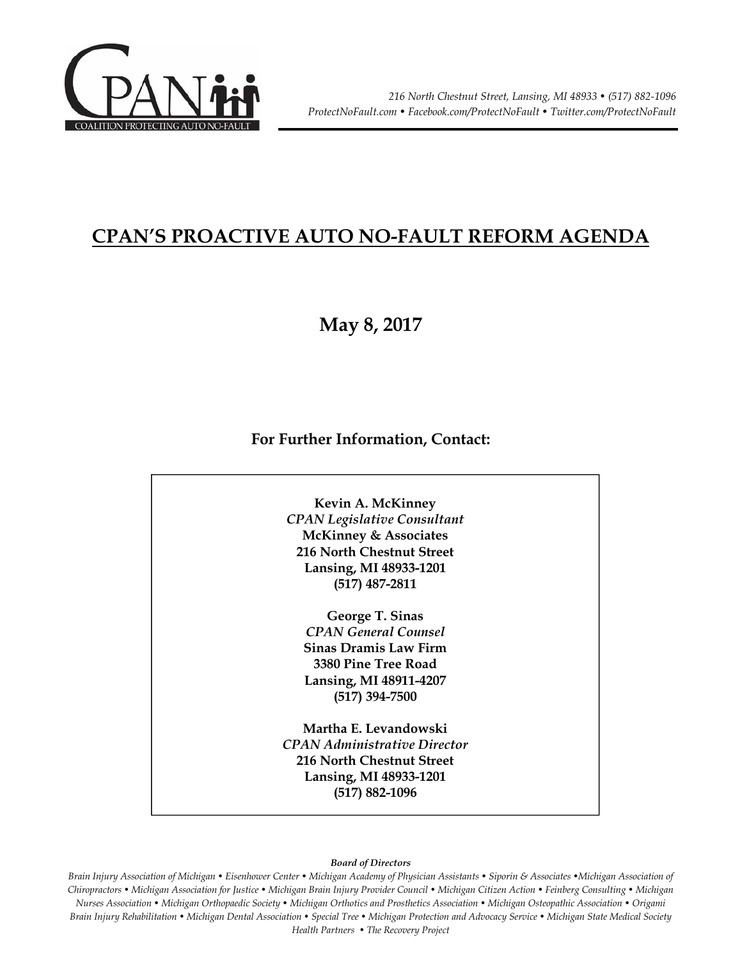

# **CPAN'S PROACTIVE AUTO NO-FAULT REFORM AGENDA**

## **May 8, 2017**

#### **For Further Information, Contact:**



#### *Board of Directors*

*Brain Injury Association of Michigan • Eisenhower Center • Michigan Academy of Physician Assistants • Siporin & Associates •Michigan Association of Chiropractors • Michigan Association for Justice • Michigan Brain Injury Provider Council • Michigan Citizen Action • Feinberg Consulting • Michigan Nurses Association • Michigan Orthopaedic Society • Michigan Orthotics and Prosthetics Association • Michigan Osteopathic Association • Origami Brain Injury Rehabilitation • Michigan Dental Association • Special Tree • Michigan Protection and Advocacy Service • Michigan State Medical Society Health Partners • The Recovery Project*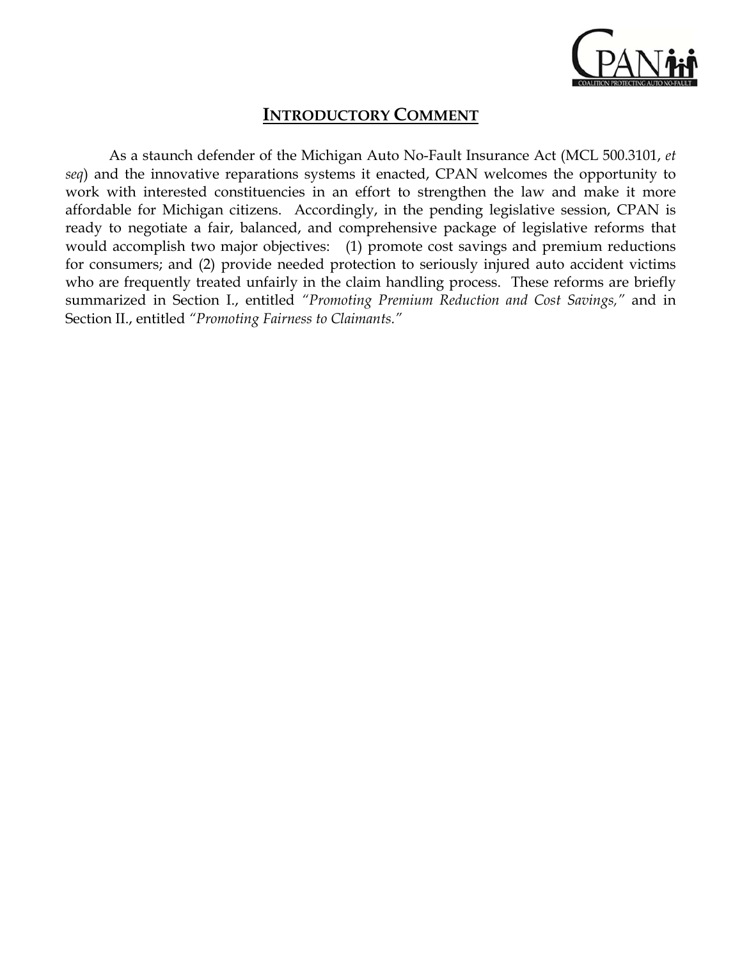

### **INTRODUCTORY COMMENT**

As a staunch defender of the Michigan Auto No-Fault Insurance Act (MCL 500.3101, *et seq*) and the innovative reparations systems it enacted, CPAN welcomes the opportunity to work with interested constituencies in an effort to strengthen the law and make it more affordable for Michigan citizens. Accordingly, in the pending legislative session, CPAN is ready to negotiate a fair, balanced, and comprehensive package of legislative reforms that would accomplish two major objectives: (1) promote cost savings and premium reductions for consumers; and (2) provide needed protection to seriously injured auto accident victims who are frequently treated unfairly in the claim handling process. These reforms are briefly summarized in Section I., entitled *"Promoting Premium Reduction and Cost Savings,"* and in Section II., entitled *"Promoting Fairness to Claimants."*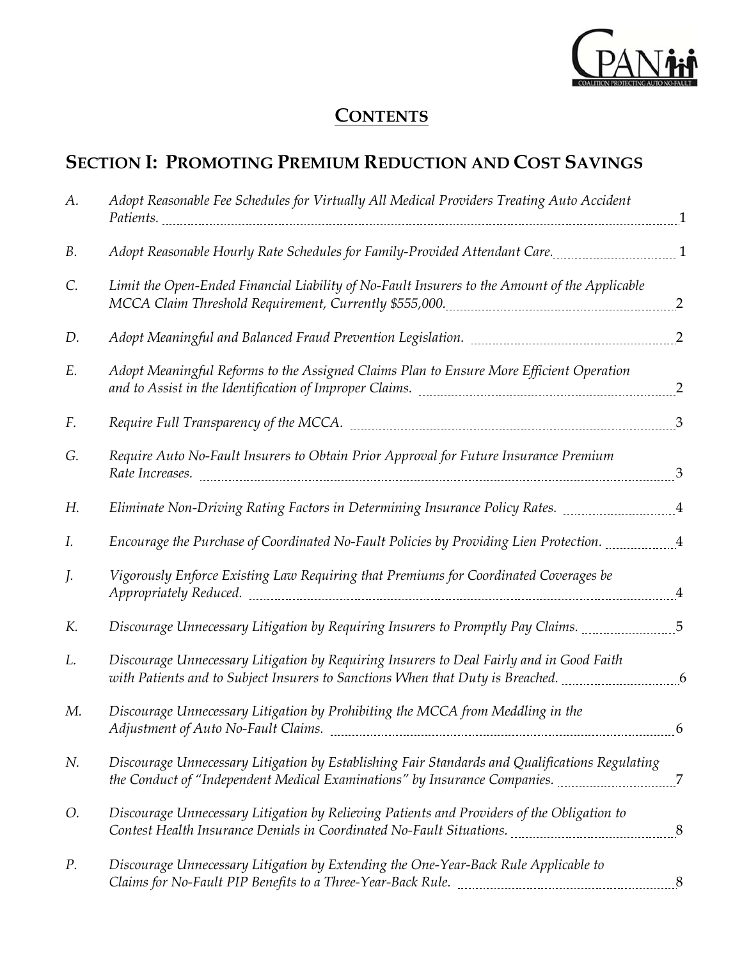

# **CONTENTS**

# **SECTION I: PROMOTING PREMIUM REDUCTION AND COST SAVINGS**

| А.        | Adopt Reasonable Fee Schedules for Virtually All Medical Providers Treating Auto Accident                                                                                                           |   |
|-----------|-----------------------------------------------------------------------------------------------------------------------------------------------------------------------------------------------------|---|
| <b>B.</b> | Adopt Reasonable Hourly Rate Schedules for Family-Provided Attendant Care. [1986] And Reasonable Hourly Rate Schedules for Family-Provided Attendant Care.                                          |   |
| C.        | Limit the Open-Ended Financial Liability of No-Fault Insurers to the Amount of the Applicable                                                                                                       |   |
| D.        | Adopt Meaningful and Balanced Fraud Prevention Legislation. [11] [120] Meaning Meaningful and Balanced Fraud P                                                                                      |   |
| E.        | Adopt Meaningful Reforms to the Assigned Claims Plan to Ensure More Efficient Operation                                                                                                             |   |
| F.        |                                                                                                                                                                                                     |   |
| G.        | Require Auto No-Fault Insurers to Obtain Prior Approval for Future Insurance Premium                                                                                                                |   |
| Н.        | Eliminate Non-Driving Rating Factors in Determining Insurance Policy Rates. 4                                                                                                                       |   |
| I.        | Encourage the Purchase of Coordinated No-Fault Policies by Providing Lien Protection. [164] [45] Encourage the                                                                                      |   |
| J.        | Vigorously Enforce Existing Law Requiring that Premiums for Coordinated Coverages be                                                                                                                |   |
| K.        | Discourage Unnecessary Litigation by Requiring Insurers to Promptly Pay Claims. 5                                                                                                                   |   |
| L.        | Discourage Unnecessary Litigation by Requiring Insurers to Deal Fairly and in Good Faith<br>with Patients and to Subject Insurers to Sanctions When that Duty is Breached. ___________________6     |   |
| М.        | Discourage Unnecessary Litigation by Prohibiting the MCCA from Meddling in the                                                                                                                      | 6 |
| N.        | Discourage Unnecessary Litigation by Establishing Fair Standards and Qualifications Regulating                                                                                                      |   |
| Ο.        | Discourage Unnecessary Litigation by Relieving Patients and Providers of the Obligation to<br>Contest Health Insurance Denials in Coordinated No-Fault Situations. [101] Contest Health Insurance 8 |   |
| $P$ .     | Discourage Unnecessary Litigation by Extending the One-Year-Back Rule Applicable to                                                                                                                 |   |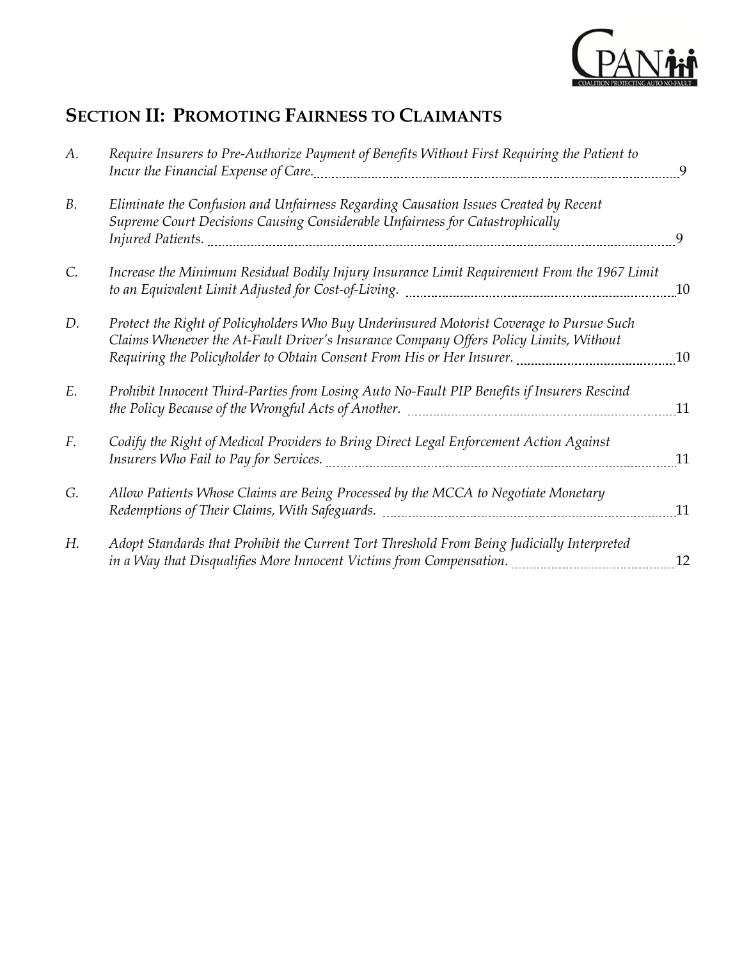

# **SECTION II: PROMOTING FAIRNESS TO CLAIMANTS**

| А.        | Require Insurers to Pre-Authorize Payment of Benefits Without First Requiring the Patient to                                                                                                                                                                                                                                                                                                                        | 9  |
|-----------|---------------------------------------------------------------------------------------------------------------------------------------------------------------------------------------------------------------------------------------------------------------------------------------------------------------------------------------------------------------------------------------------------------------------|----|
| <b>B.</b> | Eliminate the Confusion and Unfairness Regarding Causation Issues Created by Recent<br>Supreme Court Decisions Causing Considerable Unfairness for Catastrophically                                                                                                                                                                                                                                                 | 9  |
| C.        | Increase the Minimum Residual Bodily Injury Insurance Limit Requirement From the 1967 Limit<br>to an Equivalent Limit Adjusted for Cost-of-Living. [11] [12] [13] [13] [13] [14] [15] [15] [15] [15] [15] [15                                                                                                                                                                                                       | 10 |
| D.        | Protect the Right of Policyholders Who Buy Underinsured Motorist Coverage to Pursue Such<br>Claims Whenever the At-Fault Driver's Insurance Company Offers Policy Limits, Without<br>Requiring the Policyholder to Obtain Consent From His or Her Insurer. [1014] [10] Requiring the Policyholder to Obtain Consent From His or Her Insurer. [10] [10] [10] Allen Lequing and His Anna Lequing Management Managemen |    |
| E.        | Prohibit Innocent Third-Parties from Losing Auto No-Fault PIP Benefits if Insurers Rescind<br>the Policy Because of the Wrongful Acts of Another. [11] [12] [13] [13] [14] [14] [15] [16] [17] [17] [17] [17                                                                                                                                                                                                        | 11 |
| F.        | Codify the Right of Medical Providers to Bring Direct Legal Enforcement Action Against                                                                                                                                                                                                                                                                                                                              | 11 |
| G.        | Allow Patients Whose Claims are Being Processed by the MCCA to Negotiate Monetary<br>Redemptions of Their Claims, With Safeguards. Manuan Communications of Their Claims,                                                                                                                                                                                                                                           | 11 |
| Н.        | Adopt Standards that Prohibit the Current Tort Threshold From Being Judicially Interpreted<br>in a Way that Disqualifies More Innocent Victims from Compensation. [11] [11] that Disqualifies More Innocent V                                                                                                                                                                                                       | 12 |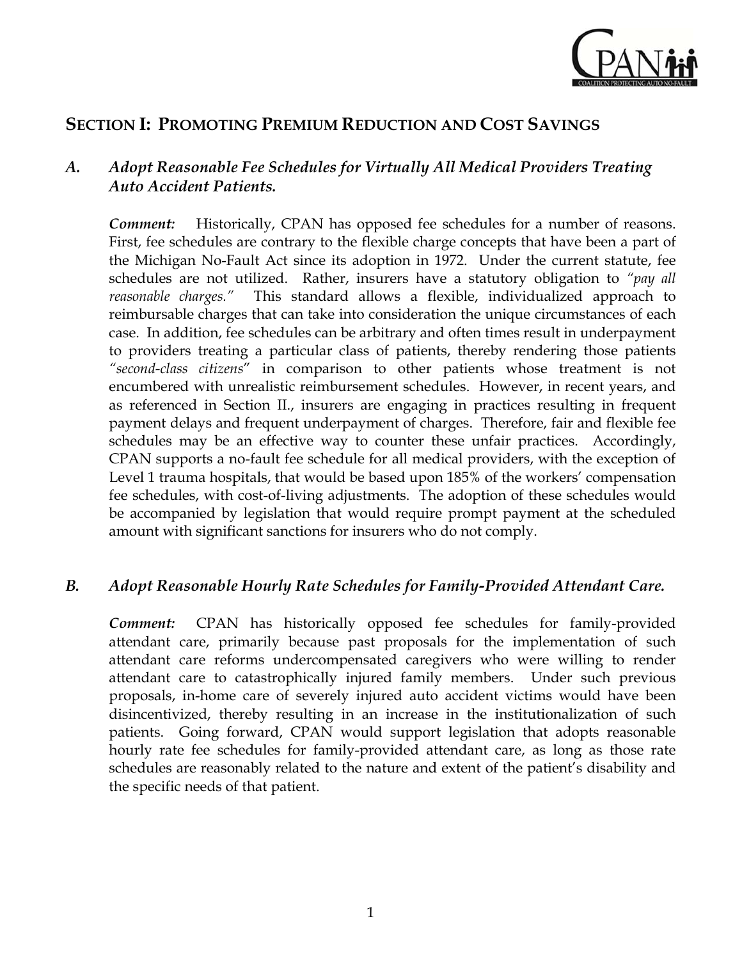

### **SECTION I: PROMOTING PREMIUM REDUCTION AND COST SAVINGS**

#### *A. Adopt Reasonable Fee Schedules for Virtually All Medical Providers Treating Auto Accident Patients.*

*Comment:* Historically, CPAN has opposed fee schedules for a number of reasons. First, fee schedules are contrary to the flexible charge concepts that have been a part of the Michigan No-Fault Act since its adoption in 1972. Under the current statute, fee schedules are not utilized. Rather, insurers have a statutory obligation to *"pay all reasonable charges."* This standard allows a flexible, individualized approach to reimbursable charges that can take into consideration the unique circumstances of each case. In addition, fee schedules can be arbitrary and often times result in underpayment to providers treating a particular class of patients, thereby rendering those patients *"second-class citizens*" in comparison to other patients whose treatment is not encumbered with unrealistic reimbursement schedules. However, in recent years, and as referenced in Section II., insurers are engaging in practices resulting in frequent payment delays and frequent underpayment of charges. Therefore, fair and flexible fee schedules may be an effective way to counter these unfair practices. Accordingly, CPAN supports a no-fault fee schedule for all medical providers, with the exception of Level 1 trauma hospitals, that would be based upon 185% of the workers' compensation fee schedules, with cost-of-living adjustments. The adoption of these schedules would be accompanied by legislation that would require prompt payment at the scheduled amount with significant sanctions for insurers who do not comply.

#### *B. Adopt Reasonable Hourly Rate Schedules for Family-Provided Attendant Care.*

*Comment:* CPAN has historically opposed fee schedules for family-provided attendant care, primarily because past proposals for the implementation of such attendant care reforms undercompensated caregivers who were willing to render attendant care to catastrophically injured family members. Under such previous proposals, in-home care of severely injured auto accident victims would have been disincentivized, thereby resulting in an increase in the institutionalization of such patients. Going forward, CPAN would support legislation that adopts reasonable hourly rate fee schedules for family-provided attendant care, as long as those rate schedules are reasonably related to the nature and extent of the patient's disability and the specific needs of that patient.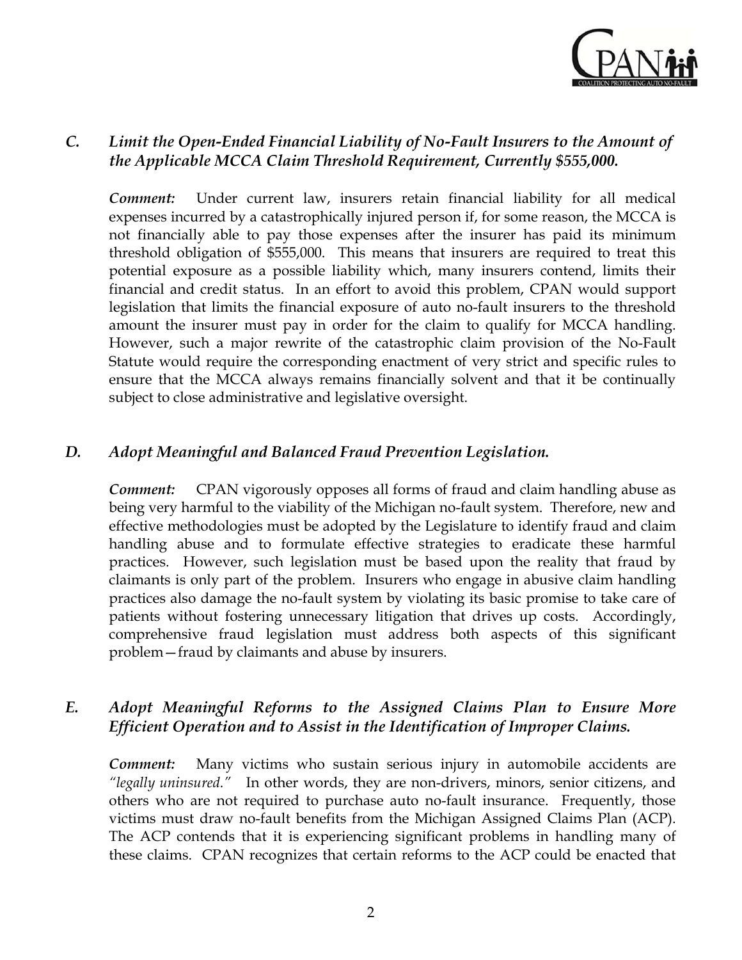

#### *C. Limit the Open-Ended Financial Liability of No-Fault Insurers to the Amount of the Applicable MCCA Claim Threshold Requirement, Currently \$555,000.*

*Comment:* Under current law, insurers retain financial liability for all medical expenses incurred by a catastrophically injured person if, for some reason, the MCCA is not financially able to pay those expenses after the insurer has paid its minimum threshold obligation of \$555,000. This means that insurers are required to treat this potential exposure as a possible liability which, many insurers contend, limits their financial and credit status. In an effort to avoid this problem, CPAN would support legislation that limits the financial exposure of auto no-fault insurers to the threshold amount the insurer must pay in order for the claim to qualify for MCCA handling. However, such a major rewrite of the catastrophic claim provision of the No-Fault Statute would require the corresponding enactment of very strict and specific rules to ensure that the MCCA always remains financially solvent and that it be continually subject to close administrative and legislative oversight.

#### *D. Adopt Meaningful and Balanced Fraud Prevention Legislation.*

*Comment:* CPAN vigorously opposes all forms of fraud and claim handling abuse as being very harmful to the viability of the Michigan no-fault system. Therefore, new and effective methodologies must be adopted by the Legislature to identify fraud and claim handling abuse and to formulate effective strategies to eradicate these harmful practices. However, such legislation must be based upon the reality that fraud by claimants is only part of the problem. Insurers who engage in abusive claim handling practices also damage the no-fault system by violating its basic promise to take care of patients without fostering unnecessary litigation that drives up costs. Accordingly, comprehensive fraud legislation must address both aspects of this significant problem—fraud by claimants and abuse by insurers.

#### *E. Adopt Meaningful Reforms to the Assigned Claims Plan to Ensure More Efficient Operation and to Assist in the Identification of Improper Claims.*

*Comment:* Many victims who sustain serious injury in automobile accidents are *"legally uninsured."* In other words, they are non-drivers, minors, senior citizens, and others who are not required to purchase auto no-fault insurance. Frequently, those victims must draw no-fault benefits from the Michigan Assigned Claims Plan (ACP). The ACP contends that it is experiencing significant problems in handling many of these claims. CPAN recognizes that certain reforms to the ACP could be enacted that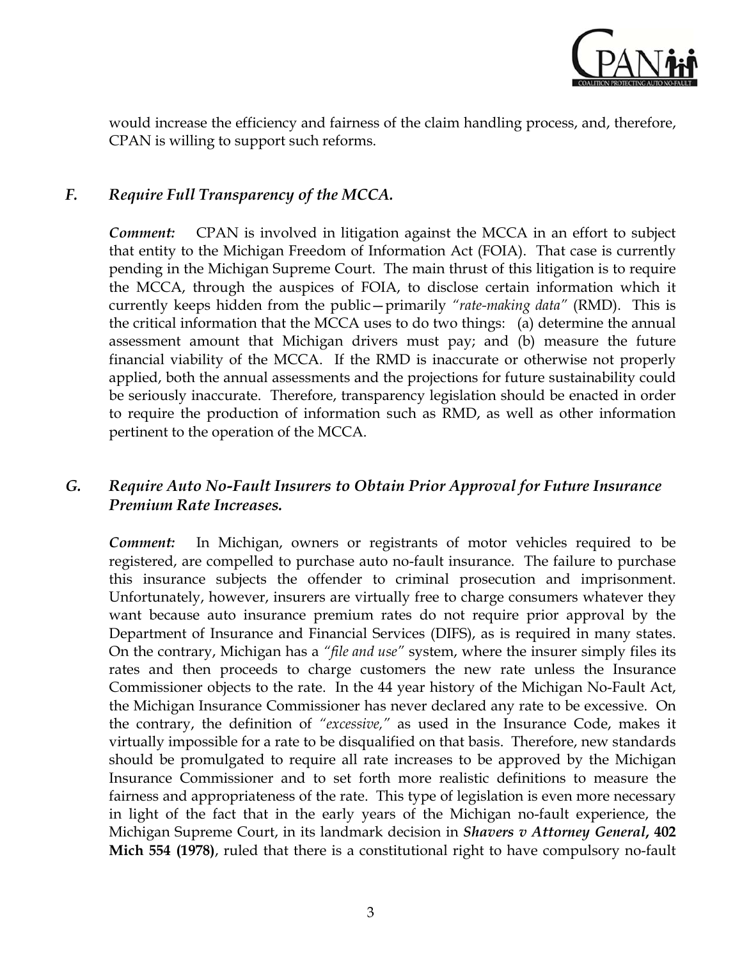

would increase the efficiency and fairness of the claim handling process, and, therefore, CPAN is willing to support such reforms.

#### *F. Require Full Transparency of the MCCA.*

*Comment:* CPAN is involved in litigation against the MCCA in an effort to subject that entity to the Michigan Freedom of Information Act (FOIA). That case is currently pending in the Michigan Supreme Court. The main thrust of this litigation is to require the MCCA, through the auspices of FOIA, to disclose certain information which it currently keeps hidden from the public—primarily *"rate-making data"* (RMD). This is the critical information that the MCCA uses to do two things: (a) determine the annual assessment amount that Michigan drivers must pay; and (b) measure the future financial viability of the MCCA. If the RMD is inaccurate or otherwise not properly applied, both the annual assessments and the projections for future sustainability could be seriously inaccurate. Therefore, transparency legislation should be enacted in order to require the production of information such as RMD, as well as other information pertinent to the operation of the MCCA.

#### *G. Require Auto No-Fault Insurers to Obtain Prior Approval for Future Insurance Premium Rate Increases.*

*Comment:* In Michigan, owners or registrants of motor vehicles required to be registered, are compelled to purchase auto no-fault insurance. The failure to purchase this insurance subjects the offender to criminal prosecution and imprisonment. Unfortunately, however, insurers are virtually free to charge consumers whatever they want because auto insurance premium rates do not require prior approval by the Department of Insurance and Financial Services (DIFS), as is required in many states. On the contrary, Michigan has a *"file and use"* system, where the insurer simply files its rates and then proceeds to charge customers the new rate unless the Insurance Commissioner objects to the rate. In the 44 year history of the Michigan No-Fault Act, the Michigan Insurance Commissioner has never declared any rate to be excessive. On the contrary, the definition of *"excessive,"* as used in the Insurance Code, makes it virtually impossible for a rate to be disqualified on that basis. Therefore, new standards should be promulgated to require all rate increases to be approved by the Michigan Insurance Commissioner and to set forth more realistic definitions to measure the fairness and appropriateness of the rate. This type of legislation is even more necessary in light of the fact that in the early years of the Michigan no-fault experience, the Michigan Supreme Court, in its landmark decision in *Shavers v Attorney General***, 402 Mich 554 (1978)**, ruled that there is a constitutional right to have compulsory no-fault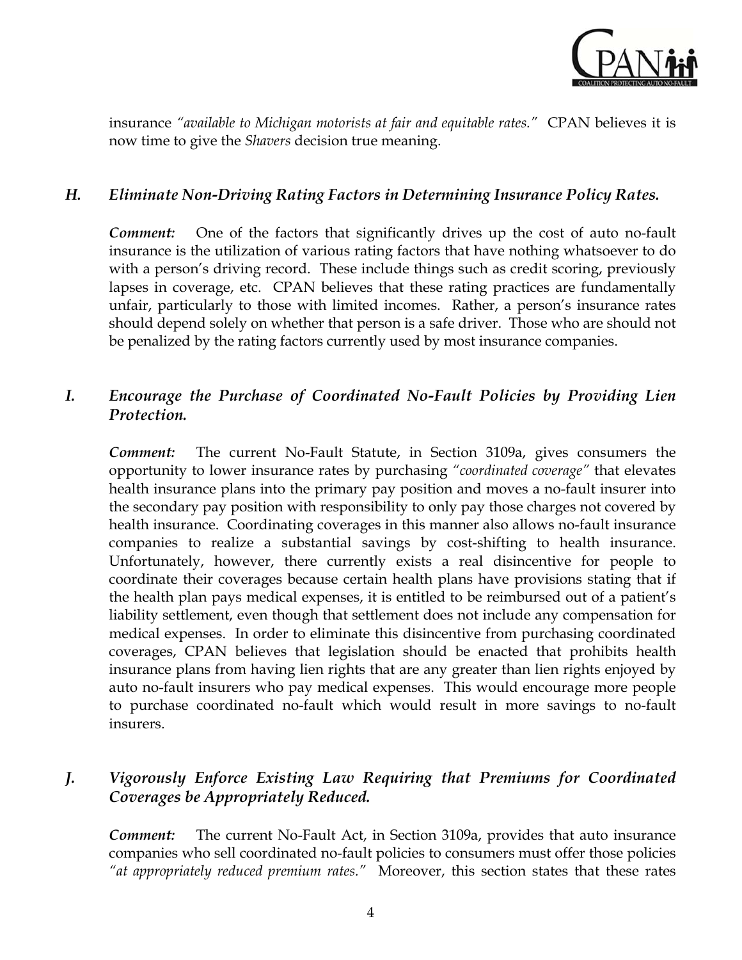

insurance *"available to Michigan motorists at fair and equitable rates."* CPAN believes it is now time to give the *Shavers* decision true meaning.

#### *H. Eliminate Non-Driving Rating Factors in Determining Insurance Policy Rates.*

*Comment:* One of the factors that significantly drives up the cost of auto no-fault insurance is the utilization of various rating factors that have nothing whatsoever to do with a person's driving record. These include things such as credit scoring, previously lapses in coverage, etc. CPAN believes that these rating practices are fundamentally unfair, particularly to those with limited incomes. Rather, a person's insurance rates should depend solely on whether that person is a safe driver. Those who are should not be penalized by the rating factors currently used by most insurance companies.

#### *I. Encourage the Purchase of Coordinated No-Fault Policies by Providing Lien Protection.*

*Comment:* The current No-Fault Statute, in Section 3109a, gives consumers the opportunity to lower insurance rates by purchasing *"coordinated coverage"* that elevates health insurance plans into the primary pay position and moves a no-fault insurer into the secondary pay position with responsibility to only pay those charges not covered by health insurance. Coordinating coverages in this manner also allows no-fault insurance companies to realize a substantial savings by cost-shifting to health insurance. Unfortunately, however, there currently exists a real disincentive for people to coordinate their coverages because certain health plans have provisions stating that if the health plan pays medical expenses, it is entitled to be reimbursed out of a patient's liability settlement, even though that settlement does not include any compensation for medical expenses. In order to eliminate this disincentive from purchasing coordinated coverages, CPAN believes that legislation should be enacted that prohibits health insurance plans from having lien rights that are any greater than lien rights enjoyed by auto no-fault insurers who pay medical expenses. This would encourage more people to purchase coordinated no-fault which would result in more savings to no-fault insurers.

#### *J. Vigorously Enforce Existing Law Requiring that Premiums for Coordinated Coverages be Appropriately Reduced.*

*Comment:* The current No-Fault Act, in Section 3109a, provides that auto insurance companies who sell coordinated no-fault policies to consumers must offer those policies *"at appropriately reduced premium rates."* Moreover, this section states that these rates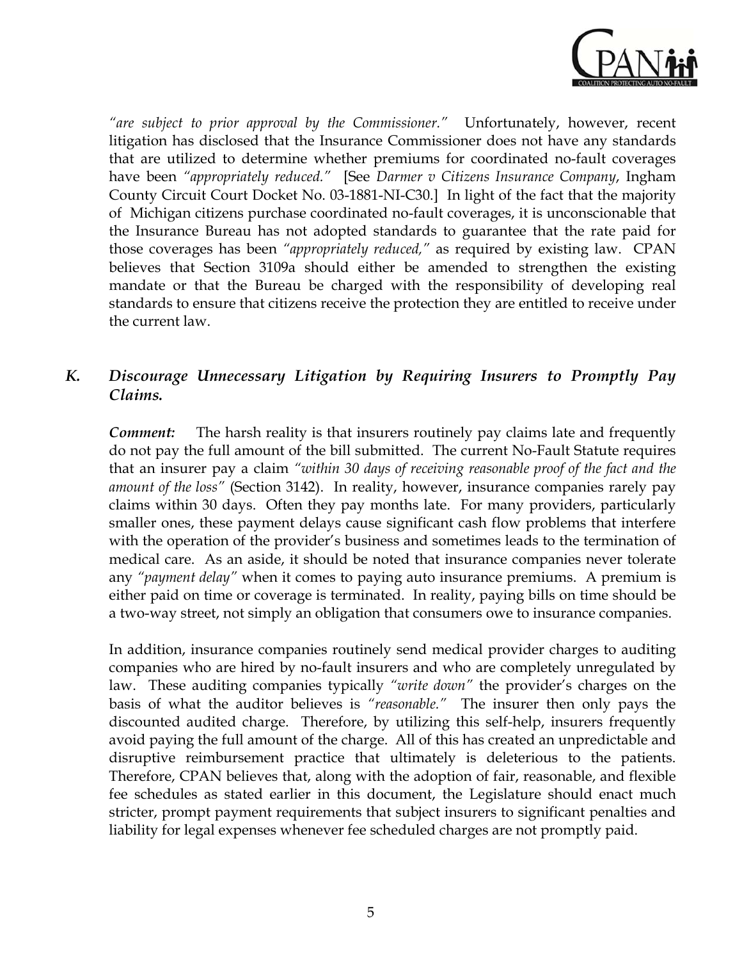

*"are subject to prior approval by the Commissioner."* Unfortunately, however, recent litigation has disclosed that the Insurance Commissioner does not have any standards that are utilized to determine whether premiums for coordinated no-fault coverages have been *"appropriately reduced."* [See *Darmer v Citizens Insurance Company*, Ingham County Circuit Court Docket No. 03-1881-NI-C30.] In light of the fact that the majority of Michigan citizens purchase coordinated no-fault coverages, it is unconscionable that the Insurance Bureau has not adopted standards to guarantee that the rate paid for those coverages has been *"appropriately reduced,"* as required by existing law. CPAN believes that Section 3109a should either be amended to strengthen the existing mandate or that the Bureau be charged with the responsibility of developing real standards to ensure that citizens receive the protection they are entitled to receive under the current law.

#### *K. Discourage Unnecessary Litigation by Requiring Insurers to Promptly Pay Claims.*

*Comment:* The harsh reality is that insurers routinely pay claims late and frequently do not pay the full amount of the bill submitted. The current No-Fault Statute requires that an insurer pay a claim *"within 30 days of receiving reasonable proof of the fact and the amount of the loss"* (Section 3142). In reality, however, insurance companies rarely pay claims within 30 days. Often they pay months late. For many providers, particularly smaller ones, these payment delays cause significant cash flow problems that interfere with the operation of the provider's business and sometimes leads to the termination of medical care. As an aside, it should be noted that insurance companies never tolerate any *"payment delay"* when it comes to paying auto insurance premiums. A premium is either paid on time or coverage is terminated. In reality, paying bills on time should be a two-way street, not simply an obligation that consumers owe to insurance companies.

In addition, insurance companies routinely send medical provider charges to auditing companies who are hired by no-fault insurers and who are completely unregulated by law. These auditing companies typically *"write down"* the provider's charges on the basis of what the auditor believes is *"reasonable."* The insurer then only pays the discounted audited charge. Therefore, by utilizing this self-help, insurers frequently avoid paying the full amount of the charge. All of this has created an unpredictable and disruptive reimbursement practice that ultimately is deleterious to the patients. Therefore, CPAN believes that, along with the adoption of fair, reasonable, and flexible fee schedules as stated earlier in this document, the Legislature should enact much stricter, prompt payment requirements that subject insurers to significant penalties and liability for legal expenses whenever fee scheduled charges are not promptly paid.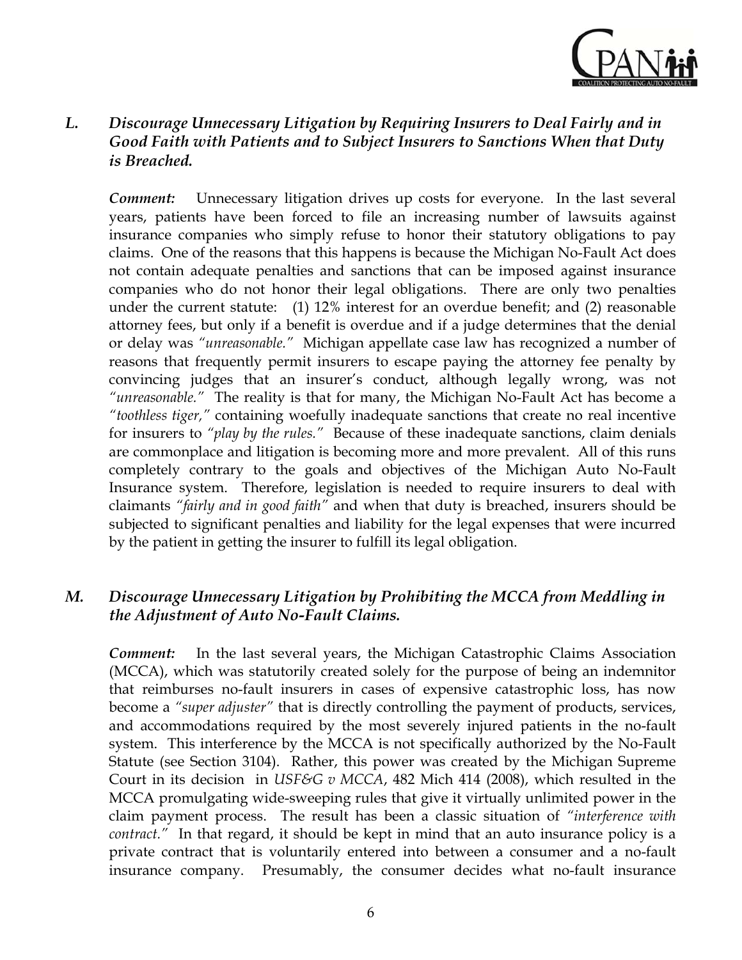

#### *L. Discourage Unnecessary Litigation by Requiring Insurers to Deal Fairly and in Good Faith with Patients and to Subject Insurers to Sanctions When that Duty is Breached.*

*Comment:* Unnecessary litigation drives up costs for everyone. In the last several years, patients have been forced to file an increasing number of lawsuits against insurance companies who simply refuse to honor their statutory obligations to pay claims. One of the reasons that this happens is because the Michigan No-Fault Act does not contain adequate penalties and sanctions that can be imposed against insurance companies who do not honor their legal obligations. There are only two penalties under the current statute: (1) 12% interest for an overdue benefit; and (2) reasonable attorney fees, but only if a benefit is overdue and if a judge determines that the denial or delay was *"unreasonable."* Michigan appellate case law has recognized a number of reasons that frequently permit insurers to escape paying the attorney fee penalty by convincing judges that an insurer's conduct, although legally wrong, was not *"unreasonable."* The reality is that for many, the Michigan No-Fault Act has become a *"toothless tiger,"* containing woefully inadequate sanctions that create no real incentive for insurers to *"play by the rules."* Because of these inadequate sanctions, claim denials are commonplace and litigation is becoming more and more prevalent. All of this runs completely contrary to the goals and objectives of the Michigan Auto No-Fault Insurance system. Therefore, legislation is needed to require insurers to deal with claimants *"fairly and in good faith"* and when that duty is breached, insurers should be subjected to significant penalties and liability for the legal expenses that were incurred by the patient in getting the insurer to fulfill its legal obligation.

#### *M. Discourage Unnecessary Litigation by Prohibiting the MCCA from Meddling in the Adjustment of Auto No-Fault Claims.*

*Comment:* In the last several years, the Michigan Catastrophic Claims Association (MCCA), which was statutorily created solely for the purpose of being an indemnitor that reimburses no-fault insurers in cases of expensive catastrophic loss, has now become a *"super adjuster"* that is directly controlling the payment of products, services, and accommodations required by the most severely injured patients in the no-fault system. This interference by the MCCA is not specifically authorized by the No-Fault Statute (see Section 3104). Rather, this power was created by the Michigan Supreme Court in its decision in *USF&G v MCCA*, 482 Mich 414 (2008), which resulted in the MCCA promulgating wide-sweeping rules that give it virtually unlimited power in the claim payment process. The result has been a classic situation of *"interference with contract."* In that regard, it should be kept in mind that an auto insurance policy is a private contract that is voluntarily entered into between a consumer and a no-fault insurance company. Presumably, the consumer decides what no-fault insurance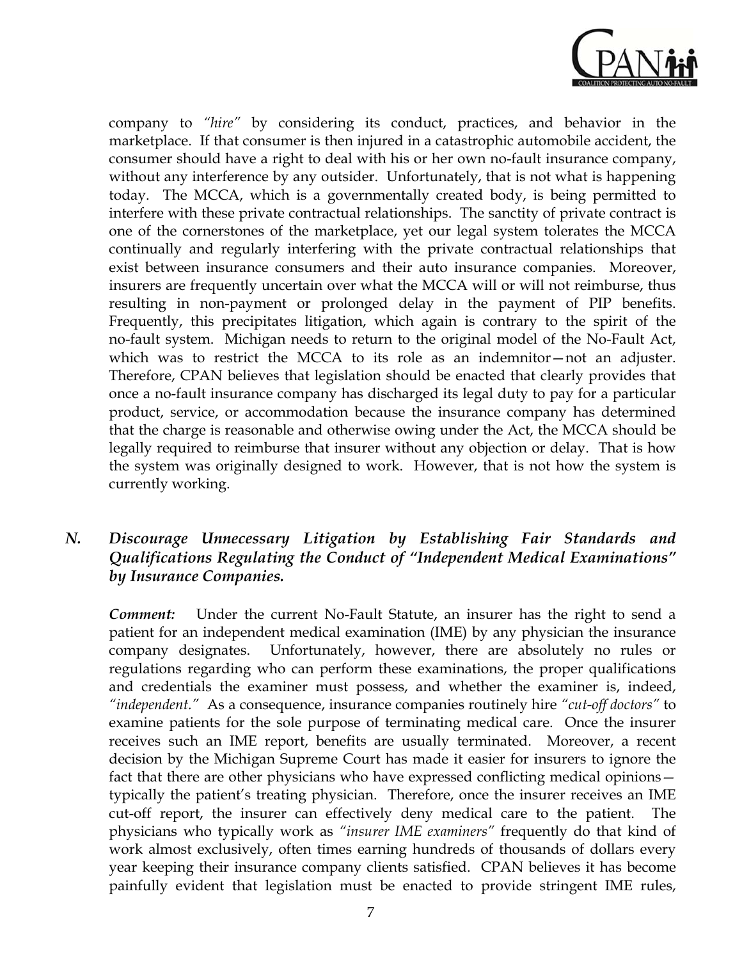

company to *"hire"* by considering its conduct, practices, and behavior in the marketplace. If that consumer is then injured in a catastrophic automobile accident, the consumer should have a right to deal with his or her own no-fault insurance company, without any interference by any outsider. Unfortunately, that is not what is happening today. The MCCA, which is a governmentally created body, is being permitted to interfere with these private contractual relationships. The sanctity of private contract is one of the cornerstones of the marketplace, yet our legal system tolerates the MCCA continually and regularly interfering with the private contractual relationships that exist between insurance consumers and their auto insurance companies. Moreover, insurers are frequently uncertain over what the MCCA will or will not reimburse, thus resulting in non-payment or prolonged delay in the payment of PIP benefits. Frequently, this precipitates litigation, which again is contrary to the spirit of the no-fault system. Michigan needs to return to the original model of the No-Fault Act, which was to restrict the MCCA to its role as an indemnitor—not an adjuster. Therefore, CPAN believes that legislation should be enacted that clearly provides that once a no-fault insurance company has discharged its legal duty to pay for a particular product, service, or accommodation because the insurance company has determined that the charge is reasonable and otherwise owing under the Act, the MCCA should be legally required to reimburse that insurer without any objection or delay. That is how the system was originally designed to work. However, that is not how the system is currently working.

#### *N. Discourage Unnecessary Litigation by Establishing Fair Standards and Qualifications Regulating the Conduct of "Independent Medical Examinations" by Insurance Companies.*

*Comment:* Under the current No-Fault Statute, an insurer has the right to send a patient for an independent medical examination (IME) by any physician the insurance company designates. Unfortunately, however, there are absolutely no rules or regulations regarding who can perform these examinations, the proper qualifications and credentials the examiner must possess, and whether the examiner is, indeed, *"independent."* As a consequence, insurance companies routinely hire *"cut-off doctors"* to examine patients for the sole purpose of terminating medical care. Once the insurer receives such an IME report, benefits are usually terminated. Moreover, a recent decision by the Michigan Supreme Court has made it easier for insurers to ignore the fact that there are other physicians who have expressed conflicting medical opinions typically the patient's treating physician. Therefore, once the insurer receives an IME cut-off report, the insurer can effectively deny medical care to the patient. The physicians who typically work as *"insurer IME examiners"* frequently do that kind of work almost exclusively, often times earning hundreds of thousands of dollars every year keeping their insurance company clients satisfied. CPAN believes it has become painfully evident that legislation must be enacted to provide stringent IME rules,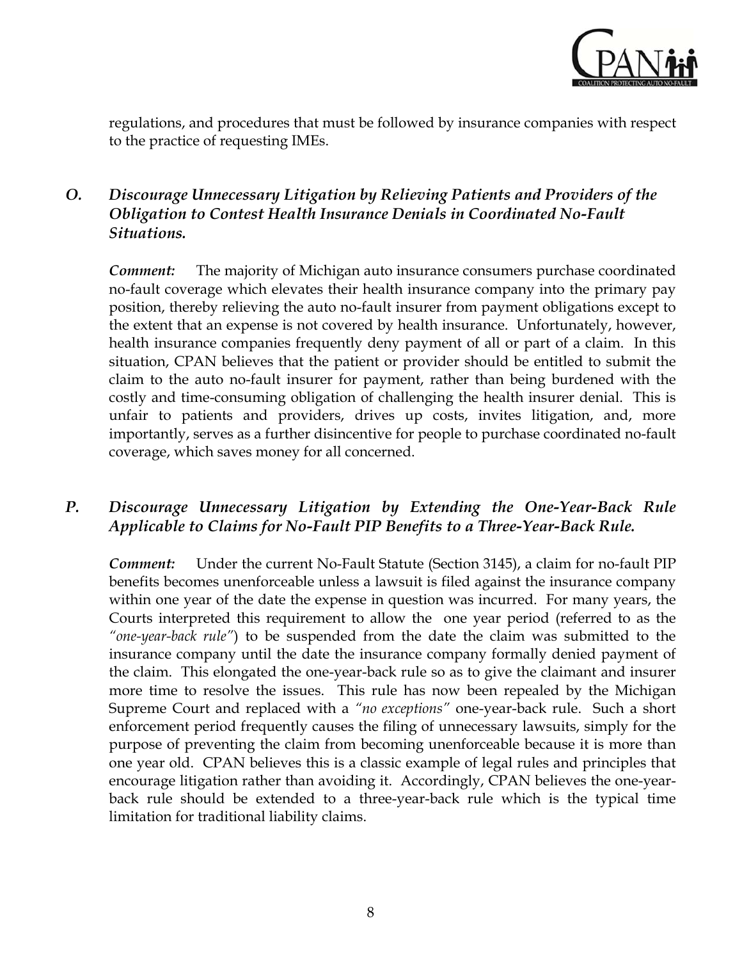

regulations, and procedures that must be followed by insurance companies with respect to the practice of requesting IMEs.

### *O. Discourage Unnecessary Litigation by Relieving Patients and Providers of the Obligation to Contest Health Insurance Denials in Coordinated No-Fault Situations.*

*Comment:* The majority of Michigan auto insurance consumers purchase coordinated no-fault coverage which elevates their health insurance company into the primary pay position, thereby relieving the auto no-fault insurer from payment obligations except to the extent that an expense is not covered by health insurance. Unfortunately, however, health insurance companies frequently deny payment of all or part of a claim. In this situation, CPAN believes that the patient or provider should be entitled to submit the claim to the auto no-fault insurer for payment, rather than being burdened with the costly and time-consuming obligation of challenging the health insurer denial. This is unfair to patients and providers, drives up costs, invites litigation, and, more importantly, serves as a further disincentive for people to purchase coordinated no-fault coverage, which saves money for all concerned.

#### *P. Discourage Unnecessary Litigation by Extending the One-Year-Back Rule Applicable to Claims for No-Fault PIP Benefits to a Three-Year-Back Rule.*

*Comment:* Under the current No-Fault Statute (Section 3145), a claim for no-fault PIP benefits becomes unenforceable unless a lawsuit is filed against the insurance company within one year of the date the expense in question was incurred. For many years, the Courts interpreted this requirement to allow the one year period (referred to as the *"one-year-back rule"*) to be suspended from the date the claim was submitted to the insurance company until the date the insurance company formally denied payment of the claim. This elongated the one-year-back rule so as to give the claimant and insurer more time to resolve the issues. This rule has now been repealed by the Michigan Supreme Court and replaced with a *"no exceptions"* one-year-back rule. Such a short enforcement period frequently causes the filing of unnecessary lawsuits, simply for the purpose of preventing the claim from becoming unenforceable because it is more than one year old. CPAN believes this is a classic example of legal rules and principles that encourage litigation rather than avoiding it. Accordingly, CPAN believes the one-yearback rule should be extended to a three-year-back rule which is the typical time limitation for traditional liability claims.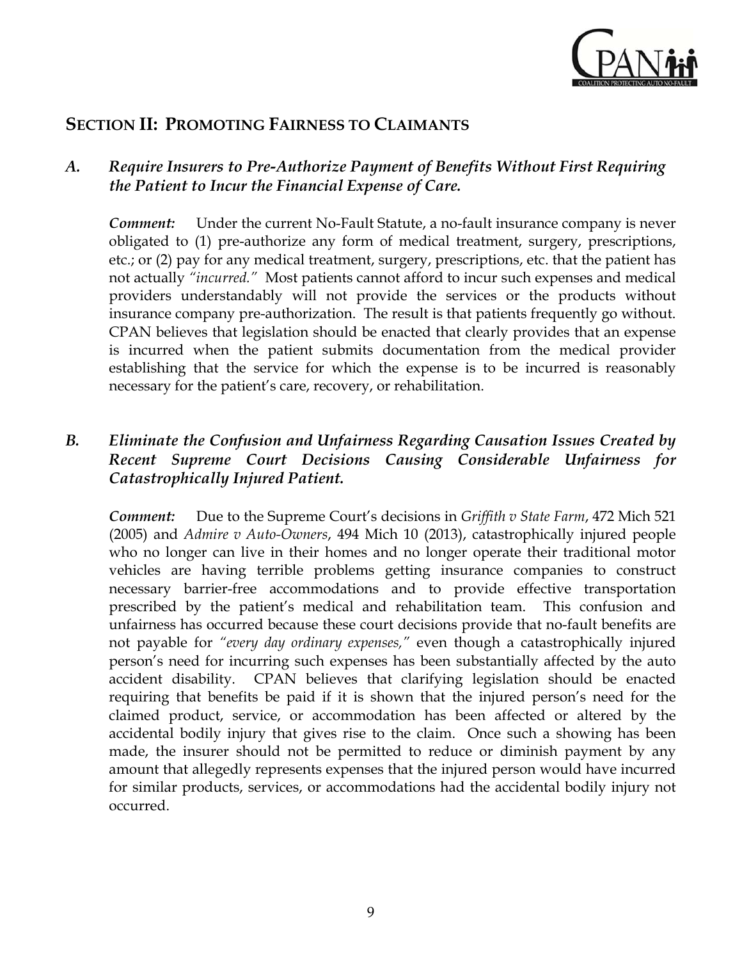

### **SECTION II: PROMOTING FAIRNESS TO CLAIMANTS**

#### *A. Require Insurers to Pre-Authorize Payment of Benefits Without First Requiring the Patient to Incur the Financial Expense of Care.*

*Comment:* Under the current No-Fault Statute, a no-fault insurance company is never obligated to (1) pre-authorize any form of medical treatment, surgery, prescriptions, etc.; or (2) pay for any medical treatment, surgery, prescriptions, etc. that the patient has not actually *"incurred."* Most patients cannot afford to incur such expenses and medical providers understandably will not provide the services or the products without insurance company pre-authorization. The result is that patients frequently go without. CPAN believes that legislation should be enacted that clearly provides that an expense is incurred when the patient submits documentation from the medical provider establishing that the service for which the expense is to be incurred is reasonably necessary for the patient's care, recovery, or rehabilitation.

#### *B. Eliminate the Confusion and Unfairness Regarding Causation Issues Created by Recent Supreme Court Decisions Causing Considerable Unfairness for Catastrophically Injured Patient.*

*Comment:* Due to the Supreme Court's decisions in *Griffith v State Farm*, 472 Mich 521 (2005) and *Admire v Auto-Owners*, 494 Mich 10 (2013), catastrophically injured people who no longer can live in their homes and no longer operate their traditional motor vehicles are having terrible problems getting insurance companies to construct necessary barrier-free accommodations and to provide effective transportation prescribed by the patient's medical and rehabilitation team. This confusion and unfairness has occurred because these court decisions provide that no-fault benefits are not payable for *"every day ordinary expenses,"* even though a catastrophically injured person's need for incurring such expenses has been substantially affected by the auto accident disability. CPAN believes that clarifying legislation should be enacted requiring that benefits be paid if it is shown that the injured person's need for the claimed product, service, or accommodation has been affected or altered by the accidental bodily injury that gives rise to the claim. Once such a showing has been made, the insurer should not be permitted to reduce or diminish payment by any amount that allegedly represents expenses that the injured person would have incurred for similar products, services, or accommodations had the accidental bodily injury not occurred.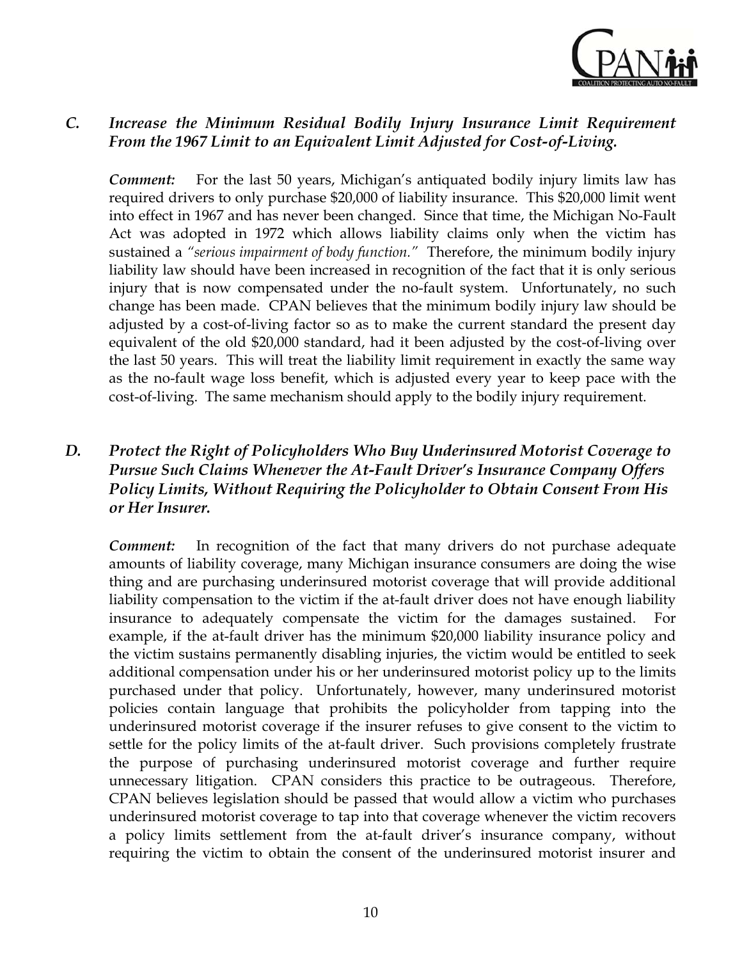

#### *C. Increase the Minimum Residual Bodily Injury Insurance Limit Requirement From the 1967 Limit to an Equivalent Limit Adjusted for Cost-of-Living.*

*Comment:* For the last 50 years, Michigan's antiquated bodily injury limits law has required drivers to only purchase \$20,000 of liability insurance. This \$20,000 limit went into effect in 1967 and has never been changed. Since that time, the Michigan No-Fault Act was adopted in 1972 which allows liability claims only when the victim has sustained a *"serious impairment of body function."* Therefore, the minimum bodily injury liability law should have been increased in recognition of the fact that it is only serious injury that is now compensated under the no-fault system. Unfortunately, no such change has been made. CPAN believes that the minimum bodily injury law should be adjusted by a cost-of-living factor so as to make the current standard the present day equivalent of the old \$20,000 standard, had it been adjusted by the cost-of-living over the last 50 years. This will treat the liability limit requirement in exactly the same way as the no-fault wage loss benefit, which is adjusted every year to keep pace with the cost-of-living. The same mechanism should apply to the bodily injury requirement.

#### *D. Protect the Right of Policyholders Who Buy Underinsured Motorist Coverage to Pursue Such Claims Whenever the At-Fault Driver's Insurance Company Offers Policy Limits, Without Requiring the Policyholder to Obtain Consent From His or Her Insurer.*

*Comment:* In recognition of the fact that many drivers do not purchase adequate amounts of liability coverage, many Michigan insurance consumers are doing the wise thing and are purchasing underinsured motorist coverage that will provide additional liability compensation to the victim if the at-fault driver does not have enough liability insurance to adequately compensate the victim for the damages sustained. For example, if the at-fault driver has the minimum \$20,000 liability insurance policy and the victim sustains permanently disabling injuries, the victim would be entitled to seek additional compensation under his or her underinsured motorist policy up to the limits purchased under that policy. Unfortunately, however, many underinsured motorist policies contain language that prohibits the policyholder from tapping into the underinsured motorist coverage if the insurer refuses to give consent to the victim to settle for the policy limits of the at-fault driver. Such provisions completely frustrate the purpose of purchasing underinsured motorist coverage and further require unnecessary litigation. CPAN considers this practice to be outrageous. Therefore, CPAN believes legislation should be passed that would allow a victim who purchases underinsured motorist coverage to tap into that coverage whenever the victim recovers a policy limits settlement from the at-fault driver's insurance company, without requiring the victim to obtain the consent of the underinsured motorist insurer and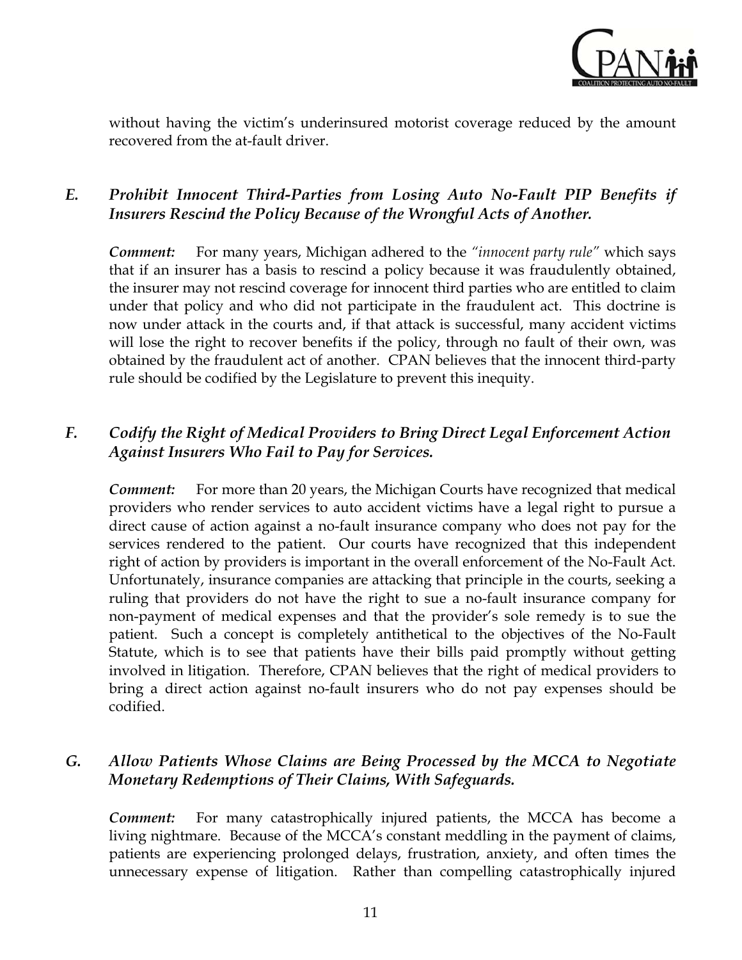

without having the victim's underinsured motorist coverage reduced by the amount recovered from the at-fault driver.

### *E. Prohibit Innocent Third-Parties from Losing Auto No-Fault PIP Benefits if Insurers Rescind the Policy Because of the Wrongful Acts of Another.*

*Comment:* For many years, Michigan adhered to the *"innocent party rule"* which says that if an insurer has a basis to rescind a policy because it was fraudulently obtained, the insurer may not rescind coverage for innocent third parties who are entitled to claim under that policy and who did not participate in the fraudulent act. This doctrine is now under attack in the courts and, if that attack is successful, many accident victims will lose the right to recover benefits if the policy, through no fault of their own, was obtained by the fraudulent act of another. CPAN believes that the innocent third-party rule should be codified by the Legislature to prevent this inequity.

#### *F. Codify the Right of Medical Providers to Bring Direct Legal Enforcement Action Against Insurers Who Fail to Pay for Services.*

**Comment:** For more than 20 years, the Michigan Courts have recognized that medical providers who render services to auto accident victims have a legal right to pursue a direct cause of action against a no-fault insurance company who does not pay for the services rendered to the patient. Our courts have recognized that this independent right of action by providers is important in the overall enforcement of the No-Fault Act. Unfortunately, insurance companies are attacking that principle in the courts, seeking a ruling that providers do not have the right to sue a no-fault insurance company for non-payment of medical expenses and that the provider's sole remedy is to sue the patient. Such a concept is completely antithetical to the objectives of the No-Fault Statute, which is to see that patients have their bills paid promptly without getting involved in litigation. Therefore, CPAN believes that the right of medical providers to bring a direct action against no-fault insurers who do not pay expenses should be codified.

#### *G. Allow Patients Whose Claims are Being Processed by the MCCA to Negotiate Monetary Redemptions of Their Claims, With Safeguards.*

*Comment:* For many catastrophically injured patients, the MCCA has become a living nightmare. Because of the MCCA's constant meddling in the payment of claims, patients are experiencing prolonged delays, frustration, anxiety, and often times the unnecessary expense of litigation. Rather than compelling catastrophically injured